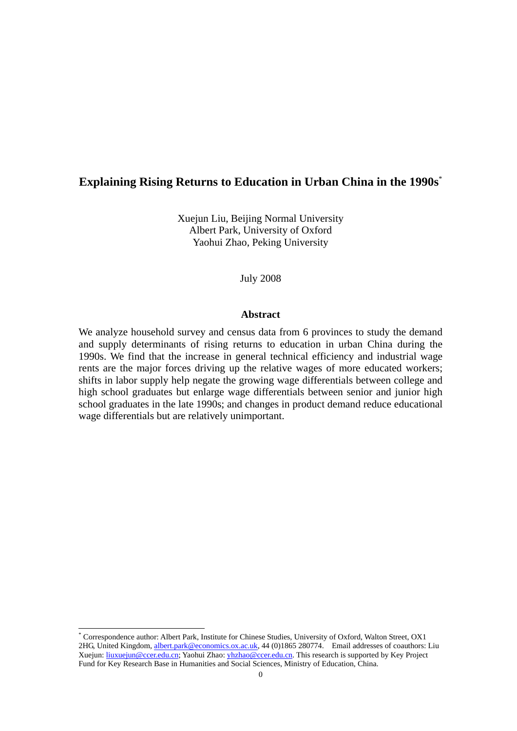# **Explaining Rising Returns to Education in Urban China in the 1990s**\*

Xuejun Liu, Beijing Normal University Albert Park, University of Oxford Yaohui Zhao, Peking University

July 2008

# **Abstract**

We analyze household survey and census data from 6 provinces to study the demand and supply determinants of rising returns to education in urban China during the 1990s. We find that the increase in general technical efficiency and industrial wage rents are the major forces driving up the relative wages of more educated workers; shifts in labor supply help negate the growing wage differentials between college and high school graduates but enlarge wage differentials between senior and junior high school graduates in the late 1990s; and changes in product demand reduce educational wage differentials but are relatively unimportant.

 <sup>\*</sup> Correspondence author: Albert Park, Institute for Chinese Studies, University of Oxford, Walton Street, OX1 2HG, United Kingdom[, albert.park@economics.ox.ac.uk,](mailto:albert.park@economics.ox.ac.uk) 44 (0)1865 280774. Email addresses of coauthors: Liu Xuejun[: liuxuejun@ccer.edu.cn;](mailto:liuxuejun@ccer.edu.cn) Yaohui Zhao[: yhzhao@ccer.edu.cn](mailto:yhzhao@ccer.edu.cn). This research is supported by Key Project Fund for Key Research Base in Humanities and Social Sciences, Ministry of Education, China.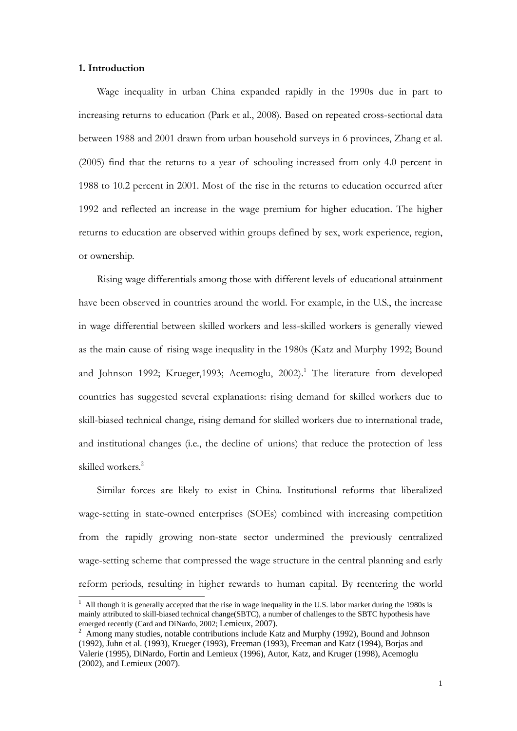#### **1. Introduction**

Wage inequality in urban China expanded rapidly in the 1990s due in part to increasing returns to education (Park et al., 2008). Based on repeated cross-sectional data between 1988 and 2001 drawn from urban household surveys in 6 provinces, Zhang et al. (2005) find that the returns to a year of schooling increased from only 4.0 percent in 1988 to 10.2 percent in 2001. Most of the rise in the returns to education occurred after 1992 and reflected an increase in the wage premium for higher education. The higher returns to education are observed within groups defined by sex, work experience, region, or ownership.

Rising wage differentials among those with different levels of educational attainment have been observed in countries around the world. For example, in the U.S., the increase in wage differential between skilled workers and less-skilled workers is generally viewed as the main cause of rising wage inequality in the 1980s (Katz and Murphy 1992; Bound and Johnson 1992; Krueger,1993; Acemoglu, 2002).<sup>1</sup> The literature from developed countries has suggested several explanations: rising demand for skilled workers due to skill-biased technical change, rising demand for skilled workers due to international trade, and institutional changes (i.e., the decline of unions) that reduce the protection of less skilled workers. 2

Similar forces are likely to exist in China. Institutional reforms that liberalized wage-setting in state-owned enterprises (SOEs) combined with increasing competition from the rapidly growing non-state sector undermined the previously centralized wage-setting scheme that compressed the wage structure in the central planning and early reform periods, resulting in higher rewards to human capital. By reentering the world

 $1$  All though it is generally accepted that the rise in wage inequality in the U.S. labor market during the 1980s is mainly attributed to skill-biased technical change(SBTC), a number of challenges to the SBTC hypothesis have emerged recently (Card and DiNardo, 2002; Lemieux, 2007).

<sup>&</sup>lt;sup>2</sup> Among many studies, notable contributions include Katz and Murphy (1992), Bound and Johnson (1992), Juhn et al. (1993), Krueger (1993), Freeman (1993), Freeman and Katz (1994), Borjas and Valerie (1995), DiNardo, Fortin and Lemieux (1996), Autor, Katz, and Kruger (1998), Acemoglu (2002), and Lemieux (2007).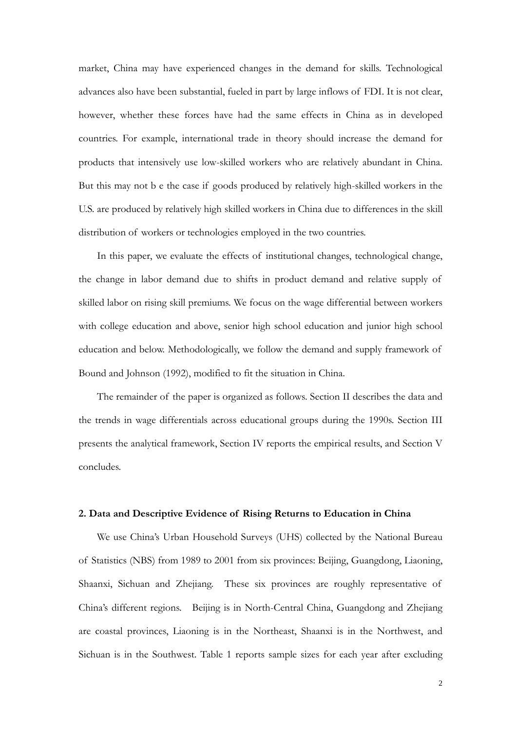market, China may have experienced changes in the demand for skills. Technological advances also have been substantial, fueled in part by large inflows of FDI. It is not clear, however, whether these forces have had the same effects in China as in developed countries. For example, international trade in theory should increase the demand for products that intensively use low-skilled workers who are relatively abundant in China. But this may not b e the case if goods produced by relatively high-skilled workers in the U.S. are produced by relatively high skilled workers in China due to differences in the skill distribution of workers or technologies employed in the two countries.

In this paper, we evaluate the effects of institutional changes, technological change, the change in labor demand due to shifts in product demand and relative supply of skilled labor on rising skill premiums. We focus on the wage differential between workers with college education and above, senior high school education and junior high school education and below. Methodologically, we follow the demand and supply framework of Bound and Johnson (1992), modified to fit the situation in China.

The remainder of the paper is organized as follows. Section II describes the data and the trends in wage differentials across educational groups during the 1990s. Section III presents the analytical framework, Section IV reports the empirical results, and Section V concludes.

#### **2. Data and Descriptive Evidence of Rising Returns to Education in China**

We use China's Urban Household Surveys (UHS) collected by the National Bureau of Statistics (NBS) from 1989 to 2001 from six provinces: Beijing, Guangdong, Liaoning, Shaanxi, Sichuan and Zhejiang. These six provinces are roughly representative of China's different regions. Beijing is in North-Central China, Guangdong and Zhejiang are coastal provinces, Liaoning is in the Northeast, Shaanxi is in the Northwest, and Sichuan is in the Southwest. Table 1 reports sample sizes for each year after excluding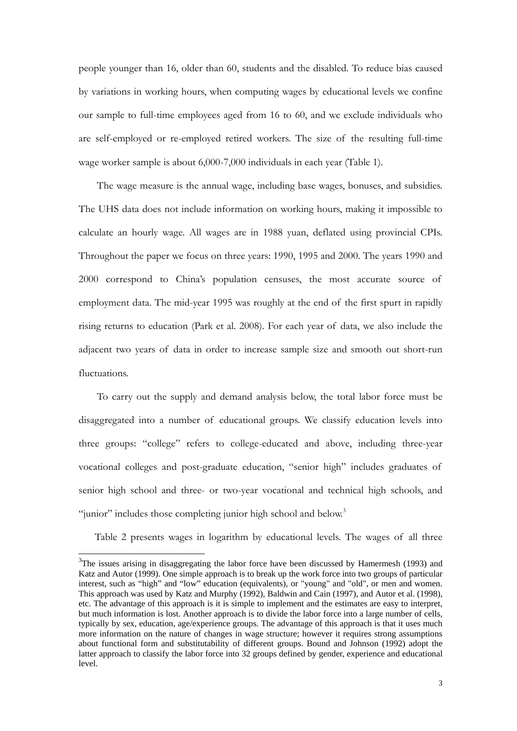people younger than 16, older than 60, students and the disabled. To reduce bias caused by variations in working hours, when computing wages by educational levels we confine our sample to full-time employees aged from 16 to 60, and we exclude individuals who are self-employed or re-employed retired workers. The size of the resulting full-time wage worker sample is about 6,000-7,000 individuals in each year (Table 1).

The wage measure is the annual wage, including base wages, bonuses, and subsidies. The UHS data does not include information on working hours, making it impossible to calculate an hourly wage. All wages are in 1988 yuan, deflated using provincial CPIs. Throughout the paper we focus on three years: 1990, 1995 and 2000. The years 1990 and 2000 correspond to China's population censuses, the most accurate source of employment data. The mid-year 1995 was roughly at the end of the first spurt in rapidly rising returns to education (Park et al. 2008). For each year of data, we also include the adjacent two years of data in order to increase sample size and smooth out short-run fluctuations.

To carry out the supply and demand analysis below, the total labor force must be disaggregated into a number of educational groups. We classify education levels into three groups: "college" refers to college-educated and above, including three-year vocational colleges and post-graduate education, "senior high" includes graduates of senior high school and three- or two-year vocational and technical high schools, and "junior" includes those completing junior high school and below.<sup>3</sup>

Table 2 presents wages in logarithm by educational levels. The wages of all three

<sup>&</sup>lt;sup>3</sup>The issues arising in disaggregating the labor force have been discussed by Hamermesh (1993) and Katz and Autor (1999). One simple approach is to break up the work force into two groups of particular interest, such as "high" and "low" education (equivalents), or "young" and "old", or men and women. This approach was used by Katz and Murphy (1992), Baldwin and Cain (1997), and Autor et al. (1998), etc. The advantage of this approach is it is simple to implement and the estimates are easy to interpret, but much information is lost. Another approach is to divide the labor force into a large number of cells, typically by sex, education, age/experience groups. The advantage of this approach is that it uses much more information on the nature of changes in wage structure; however it requires strong assumptions about functional form and substitutability of different groups. Bound and Johnson (1992) adopt the latter approach to classify the labor force into 32 groups defined by gender, experience and educational level.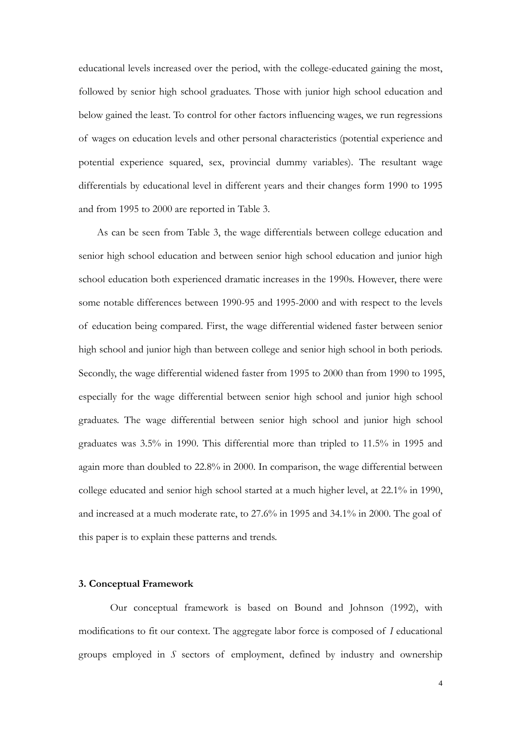educational levels increased over the period, with the college-educated gaining the most, followed by senior high school graduates. Those with junior high school education and below gained the least. To control for other factors influencing wages, we run regressions of wages on education levels and other personal characteristics (potential experience and potential experience squared, sex, provincial dummy variables). The resultant wage differentials by educational level in different years and their changes form 1990 to 1995 and from 1995 to 2000 are reported in Table 3.

As can be seen from Table 3, the wage differentials between college education and senior high school education and between senior high school education and junior high school education both experienced dramatic increases in the 1990s. However, there were some notable differences between 1990-95 and 1995-2000 and with respect to the levels of education being compared. First, the wage differential widened faster between senior high school and junior high than between college and senior high school in both periods. Secondly, the wage differential widened faster from 1995 to 2000 than from 1990 to 1995, especially for the wage differential between senior high school and junior high school graduates. The wage differential between senior high school and junior high school graduates was 3.5% in 1990. This differential more than tripled to 11.5% in 1995 and again more than doubled to 22.8% in 2000. In comparison, the wage differential between college educated and senior high school started at a much higher level, at 22.1% in 1990, and increased at a much moderate rate, to 27.6% in 1995 and 34.1% in 2000. The goal of this paper is to explain these patterns and trends.

#### **3. Conceptual Framework**

Our conceptual framework is based on Bound and Johnson (1992), with modifications to fit our context. The aggregate labor force is composed of *I* educational groups employed in *S* sectors of employment, defined by industry and ownership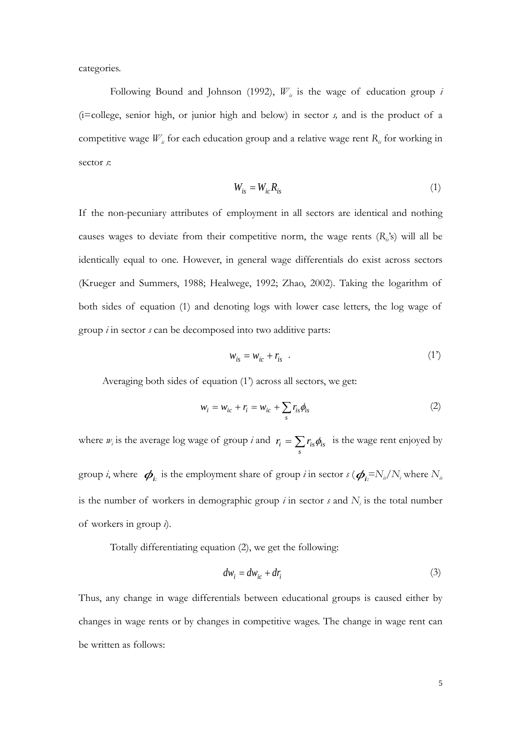categories.

Following Bound and Johnson (1992),  $W_{i}$  is the wage of education group *i* (i=college, senior high, or junior high and below) in sector *s,* and is the product of a competitive wage  $W_{ik}$  for each education group and a relative wage rent  $R_{ik}$  for working in sector *s*:

$$
W_{is} = W_{ic} R_{is} \tag{1}
$$

If the non-pecuniary attributes of employment in all sectors are identical and nothing causes wages to deviate from their competitive norm, the wage rents  $(R_{i}$ 's) will all be identically equal to one. However, in general wage differentials do exist across sectors (Krueger and Summers, 1988; Healwege, 1992; Zhao, 2002). Taking the logarithm of both sides of equation (1) and denoting logs with lower case letters, the log wage of group *i* in sector *s* can be decomposed into two additive parts:

$$
w_{is} = w_{ic} + r_{is} \tag{1'}
$$

Averaging both sides of equation (1') across all sectors, we get:

$$
w_i = w_{ic} + r_i = w_{ic} + \sum_s r_{is} \phi_{is}
$$
 (2)

where *w<sub>i</sub>* is the average log wage of group *i* and  $r_i = \sum$ *s*  $r_i = \sum r_{is} \phi_{is}$  is the wage rent enjoyed by group *i*, where  $\phi_i$  is the employment share of group *i* in sector  $s(\phi_i = N_i/N_i)$  where  $N_i$ is the number of workers in demographic group  $i$  in sector  $s$  and  $N_i$  is the total number of workers in group *i*).

Totally differentiating equation (2), we get the following:

$$
dw_i = dw_{ic} + dr_i \tag{3}
$$

Thus, any change in wage differentials between educational groups is caused either by changes in wage rents or by changes in competitive wages. The change in wage rent can be written as follows: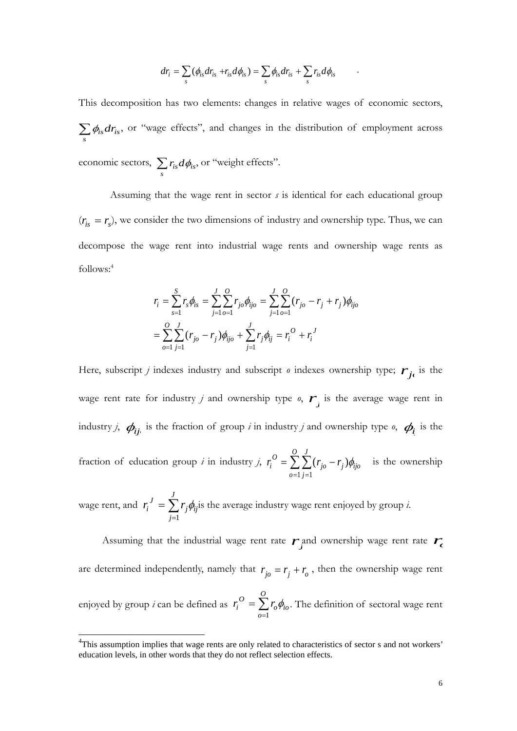$$
dr_i = \sum_s (\phi_{is} dr_{is} + r_{is} d\phi_{is}) = \sum_s \phi_{is} dr_{is} + \sum_s r_{is} d\phi_{is} \qquad .
$$

This decomposition has two elements: changes in relative wages of economic sectors, ∑ *s* <sup>φ</sup>*isdris*, or "wage effects", and changes in the distribution of employment across economic sectors, ∑ *s*  $r_{is}d\phi_{is}$ , or "weight effects".

Assuming that the wage rent in sector *s* is identical for each educational group  $(r_{is} = r_s)$ , we consider the two dimensions of industry and ownership type. Thus, we can decompose the wage rent into industrial wage rents and ownership wage rents as follows:4

$$
r_i = \sum_{s=1}^{S} r_s \phi_{is} = \sum_{j=1}^{J} \sum_{o=1}^{O} r_{jo} \phi_{ijo} = \sum_{j=1}^{J} \sum_{o=1}^{O} (r_{jo} - r_j + r_j) \phi_{ijo}
$$
  
= 
$$
\sum_{o=1}^{O} \sum_{j=1}^{J} (r_{jo} - r_j) \phi_{ijo} + \sum_{j=1}^{J} r_j \phi_{ij} = r_i^{O} + r_i^{J}
$$

Here, subscript *j* indexes industry and subscript *o* indexes ownership type;  $r_i$  is the wage rent rate for industry *j* and ownership type  $\theta$ ,  $\mathcal{F}_j$  is the average wage rent in industry *j*,  $\phi_{ij}$  is the fraction of group *i* in industry *j* and ownership type *o*,  $\phi_i$  is the fraction of education group *i* in industry *j*,  $r_i^0 = \sum_{o=1} \sum_{j=1}$  $=\sum_{i=1}^{O}\sum_{i=1}^{J}(r_{i0}$ *o J j jo j ijo*  $r_i^O = \sum \sum (r_{jO} - r)$  $1 j=1$  $(r_{io} - r_i)\phi_{io}$  is the ownership

wage rent, and  $r_i^J = \sum$ =  $=\frac{J}{2}$ *j j ij*  $r_i^J = \sum r_i^J$ 1  $\phi$ <sub>i</sub> is the average industry wage rent enjoyed by group *i*.

Assuming that the industrial wage rent rate  $r_j$  and ownership wage rent rate  $r_j$ are determined independently, namely that  $r_{j0} = r_j + r_o$ , then the ownership wage rent enjoyed by group *i* can be defined as  $r_i^O = \sum$ =  $=\frac{0}{2}$ *o o io*  $r_i^O = \sum^{\infty} r_i^O$ 1  $\phi_{io}$ . The definition of sectoral wage rent

<sup>&</sup>lt;sup>4</sup>This assumption implies that wage rents are only related to characteristics of sector s and not workers' education levels, in other words that they do not reflect selection effects.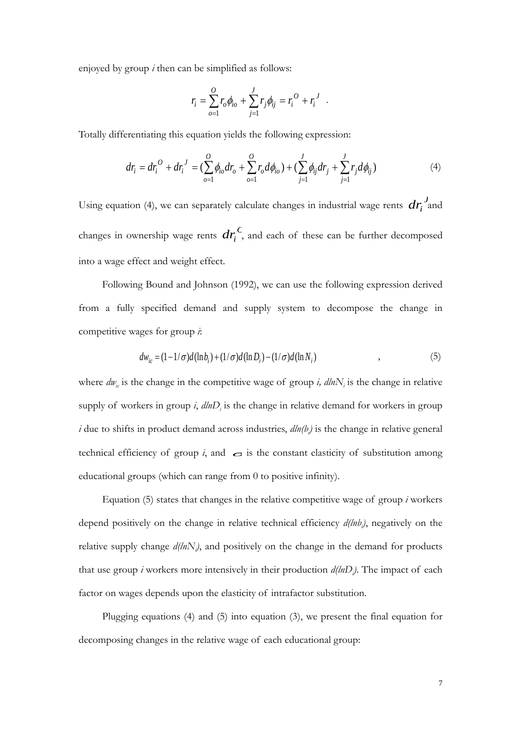enjoyed by group *i* then can be simplified as follows:

$$
r_i = \sum_{o=1}^{O} r_o \phi_{io} + \sum_{j=1}^{J} r_j \phi_{ij} = r_i^{O} + r_i^{J}.
$$

Totally differentiating this equation yields the following expression:

$$
dr_i = dr_i^O + dr_i^J = \left(\sum_{o=1}^O \phi_{io} dr_o + \sum_{o=1}^O r_o d\phi_{io}\right) + \left(\sum_{j=1}^J \phi_{ij} dr_j + \sum_{j=1}^J r_j d\phi_{ij}\right)
$$
(4)

Using equation (4), we can separately calculate changes in industrial wage rents  $d{r_i}^J$  and changes in ownership wage rents  $dr_i^C$ , and each of these can be further decomposed into a wage effect and weight effect.

Following Bound and Johnson (1992), we can use the following expression derived from a fully specified demand and supply system to decompose the change in competitive wages for group *i*:

$$
dw_{ic} = (1 - 1/\sigma)d(\ln b_i) + (1/\sigma)d(\ln D_i) - (1/\sigma)d(\ln N_i)
$$
\n(5)

where  $dw_{i}$  is the change in the competitive wage of group *i*,  $dlnN_{i}$  is the change in relative supply of workers in group  $i$ ,  $dlnD$ , is the change in relative demand for workers in group  $i$  due to shifts in product demand across industries,  $\frac{d\ln(b_i)}{b}$  is the change in relative general technical efficiency of group *i*, and  $\sigma$  is the constant elasticity of substitution among educational groups (which can range from 0 to positive infinity).

Equation (5) states that changes in the relative competitive wage of group *i* workers depend positively on the change in relative technical efficiency  $d(ln b_j)$ , negatively on the relative supply change  $d(lnN<sub>i</sub>)$ , and positively on the change in the demand for products that use group *i* workers more intensively in their production  $d(lnD<sub>j</sub>)$ . The impact of each factor on wages depends upon the elasticity of intrafactor substitution.

Plugging equations (4) and (5) into equation (3), we present the final equation for decomposing changes in the relative wage of each educational group: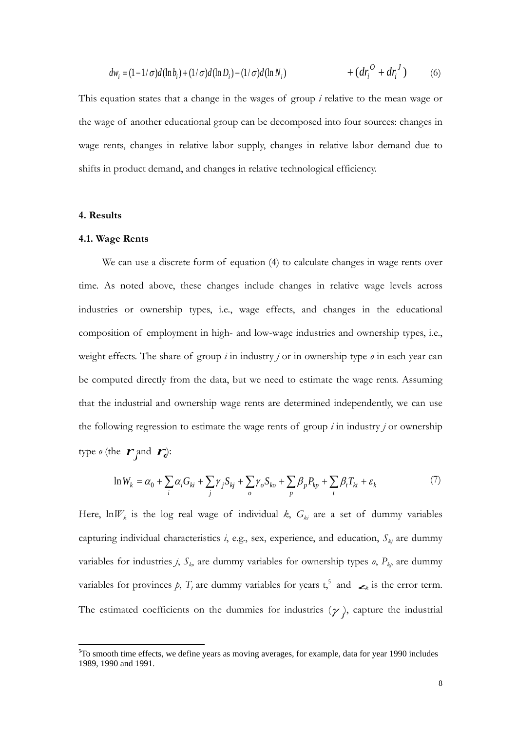$$
dw_i = (1 - 1/\sigma)d(\ln b_i) + (1/\sigma)d(\ln D_i) - (1/\sigma)d(\ln N_i) \qquad \qquad + (dr_i^0 + dr_i^1) \qquad (6)
$$

This equation states that a change in the wages of group *i* relative to the mean wage or the wage of another educational group can be decomposed into four sources: changes in wage rents, changes in relative labor supply, changes in relative labor demand due to shifts in product demand, and changes in relative technological efficiency.

# **4. Results**

#### **4.1. Wage Rents**

We can use a discrete form of equation (4) to calculate changes in wage rents over time. As noted above, these changes include changes in relative wage levels across industries or ownership types, i.e., wage effects, and changes in the educational composition of employment in high- and low-wage industries and ownership types, i.e., weight effects. The share of group *i* in industry *j* or in ownership type *o* in each year can be computed directly from the data, but we need to estimate the wage rents. Assuming that the industrial and ownership wage rents are determined independently, we can use the following regression to estimate the wage rents of group *i* in industry *j* or ownership type *o* (the  $\mathbf{r}_j$  and  $\mathbf{r}_j$ ):

$$
\ln W_k = \alpha_0 + \sum_i \alpha_i G_{ki} + \sum_j \gamma_j S_{kj} + \sum_o \gamma_o S_{ko} + \sum_p \beta_p P_{kp} + \sum_t \beta_t T_{kt} + \varepsilon_k
$$
 (7)

Here,  $\ln W_k$  is the log real wage of individual *k*,  $G_{ki}$  are a set of dummy variables capturing individual characteristics  $i$ , e.g., sex, experience, and education,  $S_{kj}$  are dummy variables for industries *j*,  $S_{k_0}$  are dummy variables for ownership types  $o$ ,  $P_{k_0}$  are dummy variables for provinces  $p$ ,  $T_t$  are dummy variables for years  $t^5$ , and  $\leq_k$  is the error term. The estimated coefficients on the dummies for industries  $(\gamma)$ , capture the industrial

 <sup>5</sup>  $5T$ o smooth time effects, we define years as moving averages, for example, data for year 1990 includes 1989, 1990 and 1991.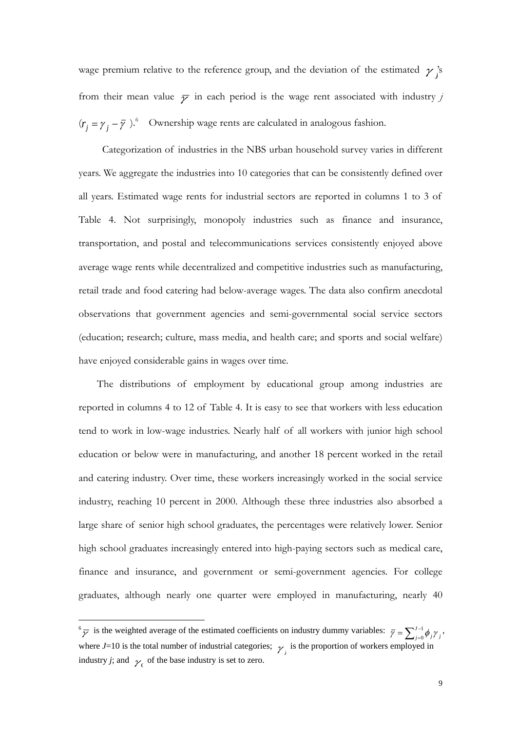wage premium relative to the reference group, and the deviation of the estimated  $\gamma$  's from their mean value  $\bar{y}$  in each period is the wage rent associated with industry *j*  $(r_j = \gamma_j - \overline{\gamma})$ .<sup>6</sup> Ownership wage rents are calculated in analogous fashion.

Categorization of industries in the NBS urban household survey varies in different years. We aggregate the industries into 10 categories that can be consistently defined over all years. Estimated wage rents for industrial sectors are reported in columns 1 to 3 of Table 4. Not surprisingly, monopoly industries such as finance and insurance, transportation, and postal and telecommunications services consistently enjoyed above average wage rents while decentralized and competitive industries such as manufacturing, retail trade and food catering had below-average wages. The data also confirm anecdotal observations that government agencies and semi-governmental social service sectors (education; research; culture, mass media, and health care; and sports and social welfare) have enjoyed considerable gains in wages over time.

The distributions of employment by educational group among industries are reported in columns 4 to 12 of Table 4. It is easy to see that workers with less education tend to work in low-wage industries. Nearly half of all workers with junior high school education or below were in manufacturing, and another 18 percent worked in the retail and catering industry. Over time, these workers increasingly worked in the social service industry, reaching 10 percent in 2000. Although these three industries also absorbed a large share of senior high school graduates, the percentages were relatively lower. Senior high school graduates increasingly entered into high-paying sectors such as medical care, finance and insurance, and government or semi-government agencies. For college graduates, although nearly one quarter were employed in manufacturing, nearly 40

 <sup>6</sup>  $\overline{\gamma}$  is the weighted average of the estimated coefficients on industry dummy variables:  $\overline{\gamma} = \sum_{j=0}^{J-1}$  $\bar{\gamma} = \sum_{j=0}^{J-1} \phi_j \gamma_j$ , where  $J=10$  is the total number of industrial categories;  $\gamma$  is the proportion of workers employed in industry *j*; and  $\gamma$  of the base industry is set to zero.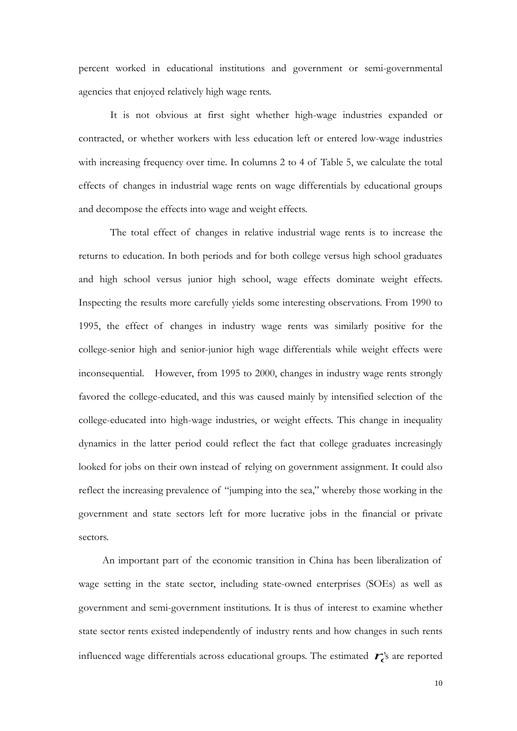percent worked in educational institutions and government or semi-governmental agencies that enjoyed relatively high wage rents.

It is not obvious at first sight whether high-wage industries expanded or contracted, or whether workers with less education left or entered low-wage industries with increasing frequency over time. In columns 2 to 4 of Table 5, we calculate the total effects of changes in industrial wage rents on wage differentials by educational groups and decompose the effects into wage and weight effects.

The total effect of changes in relative industrial wage rents is to increase the returns to education. In both periods and for both college versus high school graduates and high school versus junior high school, wage effects dominate weight effects. Inspecting the results more carefully yields some interesting observations. From 1990 to 1995, the effect of changes in industry wage rents was similarly positive for the college-senior high and senior-junior high wage differentials while weight effects were inconsequential. However, from 1995 to 2000, changes in industry wage rents strongly favored the college-educated, and this was caused mainly by intensified selection of the college-educated into high-wage industries, or weight effects. This change in inequality dynamics in the latter period could reflect the fact that college graduates increasingly looked for jobs on their own instead of relying on government assignment. It could also reflect the increasing prevalence of "jumping into the sea," whereby those working in the government and state sectors left for more lucrative jobs in the financial or private sectors.

An important part of the economic transition in China has been liberalization of wage setting in the state sector, including state-owned enterprises (SOEs) as well as government and semi-government institutions. It is thus of interest to examine whether state sector rents existed independently of industry rents and how changes in such rents influenced wage differentials across educational groups. The estimated  $\mathcal{F}_\epsilon$ 's are reported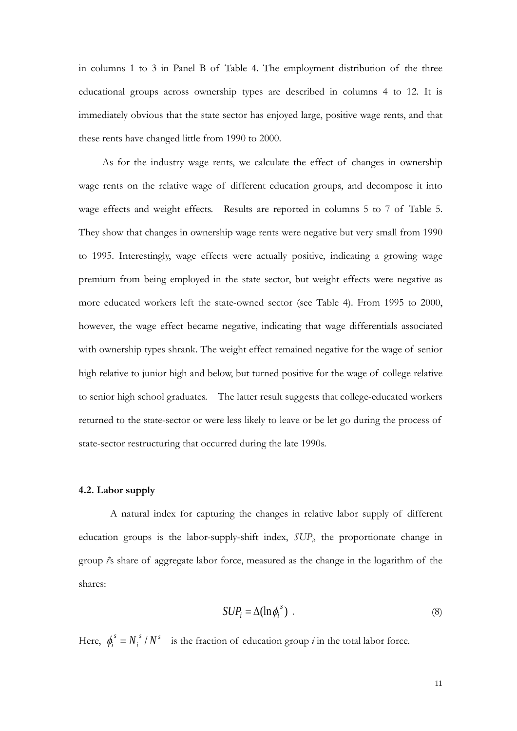in columns 1 to 3 in Panel B of Table 4. The employment distribution of the three educational groups across ownership types are described in columns 4 to 12. It is immediately obvious that the state sector has enjoyed large, positive wage rents, and that these rents have changed little from 1990 to 2000.

As for the industry wage rents, we calculate the effect of changes in ownership wage rents on the relative wage of different education groups, and decompose it into wage effects and weight effects. Results are reported in columns 5 to 7 of Table 5. They show that changes in ownership wage rents were negative but very small from 1990 to 1995. Interestingly, wage effects were actually positive, indicating a growing wage premium from being employed in the state sector, but weight effects were negative as more educated workers left the state-owned sector (see Table 4). From 1995 to 2000, however, the wage effect became negative, indicating that wage differentials associated with ownership types shrank. The weight effect remained negative for the wage of senior high relative to junior high and below, but turned positive for the wage of college relative to senior high school graduates. The latter result suggests that college-educated workers returned to the state-sector or were less likely to leave or be let go during the process of state-sector restructuring that occurred during the late 1990s.

#### **4.2. Labor supply**

A natural index for capturing the changes in relative labor supply of different education groups is the labor-supply-shift index,  $SUP<sub>p</sub>$  the proportionate change in group *i*'s share of aggregate labor force, measured as the change in the logarithm of the shares:

$$
SUP_i = \Delta(\ln \phi_i^s) \tag{8}
$$

Here,  $\phi_i^s = N_i^s / N^s$  is the fraction of education group *i* in the total labor force.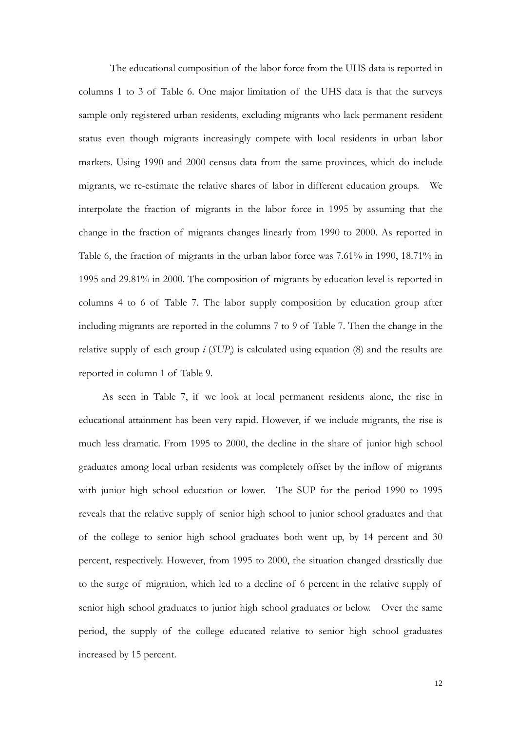The educational composition of the labor force from the UHS data is reported in columns 1 to 3 of Table 6. One major limitation of the UHS data is that the surveys sample only registered urban residents, excluding migrants who lack permanent resident status even though migrants increasingly compete with local residents in urban labor markets. Using 1990 and 2000 census data from the same provinces, which do include migrants, we re-estimate the relative shares of labor in different education groups. We interpolate the fraction of migrants in the labor force in 1995 by assuming that the change in the fraction of migrants changes linearly from 1990 to 2000. As reported in Table 6, the fraction of migrants in the urban labor force was 7.61% in 1990, 18.71% in 1995 and 29.81% in 2000. The composition of migrants by education level is reported in columns 4 to 6 of Table 7. The labor supply composition by education group after including migrants are reported in the columns 7 to 9 of Table 7. Then the change in the relative supply of each group *i* (*SUP<sub>i</sub>*) is calculated using equation (8) and the results are reported in column 1 of Table 9.

As seen in Table 7, if we look at local permanent residents alone, the rise in educational attainment has been very rapid. However, if we include migrants, the rise is much less dramatic. From 1995 to 2000, the decline in the share of junior high school graduates among local urban residents was completely offset by the inflow of migrants with junior high school education or lower. The SUP for the period 1990 to 1995 reveals that the relative supply of senior high school to junior school graduates and that of the college to senior high school graduates both went up, by 14 percent and 30 percent, respectively. However, from 1995 to 2000, the situation changed drastically due to the surge of migration, which led to a decline of 6 percent in the relative supply of senior high school graduates to junior high school graduates or below. Over the same period, the supply of the college educated relative to senior high school graduates increased by 15 percent.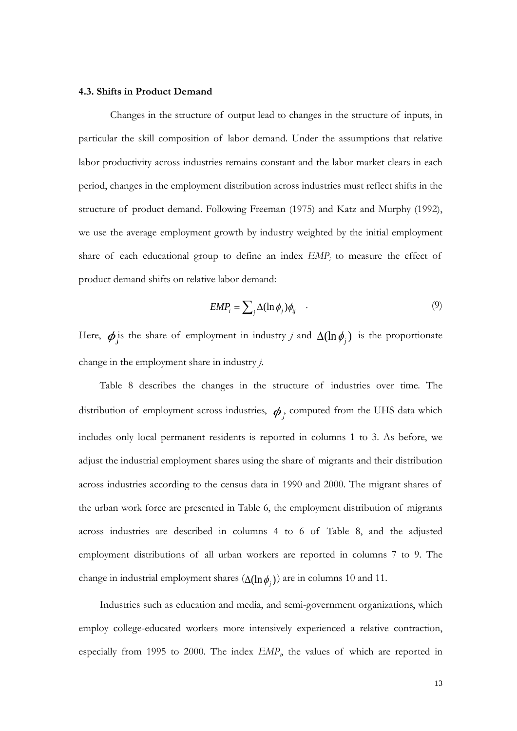#### **4.3. Shifts in Product Demand**

Changes in the structure of output lead to changes in the structure of inputs, in particular the skill composition of labor demand. Under the assumptions that relative labor productivity across industries remains constant and the labor market clears in each period, changes in the employment distribution across industries must reflect shifts in the structure of product demand. Following Freeman (1975) and Katz and Murphy (1992), we use the average employment growth by industry weighted by the initial employment share of each educational group to define an index  $EMP<sub>i</sub>$  to measure the effect of product demand shifts on relative labor demand:

$$
EMP_i = \sum_j \Delta(\ln \phi_j) \phi_{ij} \qquad (9)
$$

Here,  $\phi_j$  is the share of employment in industry *j* and  $\Delta(\ln \phi_j)$  is the proportionate change in the employment share in industry *j*.

 Table 8 describes the changes in the structure of industries over time. The distribution of employment across industries,  $\boldsymbol{\phi}_j$  computed from the UHS data which includes only local permanent residents is reported in columns 1 to 3. As before, we adjust the industrial employment shares using the share of migrants and their distribution across industries according to the census data in 1990 and 2000. The migrant shares of the urban work force are presented in Table 6, the employment distribution of migrants across industries are described in columns 4 to 6 of Table 8, and the adjusted employment distributions of all urban workers are reported in columns 7 to 9. The change in industrial employment shares  $(\Delta(\ln \phi_i))$  are in columns 10 and 11.

Industries such as education and media, and semi-government organizations, which employ college-educated workers more intensively experienced a relative contraction, especially from 1995 to 2000. The index  $EMP<sub>\rho</sub>$  the values of which are reported in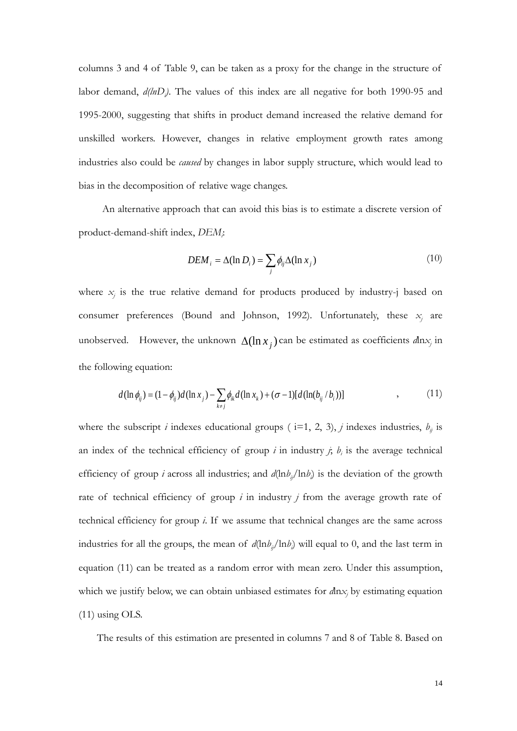columns 3 and 4 of Table 9, can be taken as a proxy for the change in the structure of labor demand,  $d(lnD_i)$ . The values of this index are all negative for both 1990-95 and 1995-2000, suggesting that shifts in product demand increased the relative demand for unskilled workers. However, changes in relative employment growth rates among industries also could be *caused* by changes in labor supply structure, which would lead to bias in the decomposition of relative wage changes.

An alternative approach that can avoid this bias is to estimate a discrete version of product-demand-shift index, *DEMi* :

$$
DEM_i = \Delta(\ln D_i) = \sum_j \phi_{ij} \Delta(\ln x_j)
$$
 (10)

where  $x_j$  is the true relative demand for products produced by industry-j based on consumer preferences (Bound and Johnson, 1992). Unfortunately, these  $x_i$  are unobserved. However, the unknown  $\Delta(\ln x_i)$  can be estimated as coefficients *d*ln*x<sub>j</sub>* in the following equation:

$$
d(\ln \phi_{ij}) = (1 - \phi_{ij})d(\ln x_j) - \sum_{k \neq j} \phi_{ik}d(\ln x_k) + (\sigma - 1)[d(\ln (b_{ij} / b_i))]
$$
\n(11)

where the subscript *i* indexes educational groups ( $i=1, 2, 3$ ), *j* indexes industries,  $b_{ij}$  is an index of the technical efficiency of group  $i$  in industry  $j$ ;  $b_i$  is the average technical efficiency of group *i* across all industries; and  $d(\ln b_j / \ln b_i)$  is the deviation of the growth rate of technical efficiency of group *i* in industry *j* from the average growth rate of technical efficiency for group *i*. If we assume that technical changes are the same across industries for all the groups, the mean of  $d(\ln b_{ij}/\ln b_i)$  will equal to 0, and the last term in equation (11) can be treated as a random error with mean zero. Under this assumption, which we justify below, we can obtain unbiased estimates for  $d\ln x_i$  by estimating equation (11) using OLS.

The results of this estimation are presented in columns 7 and 8 of Table 8. Based on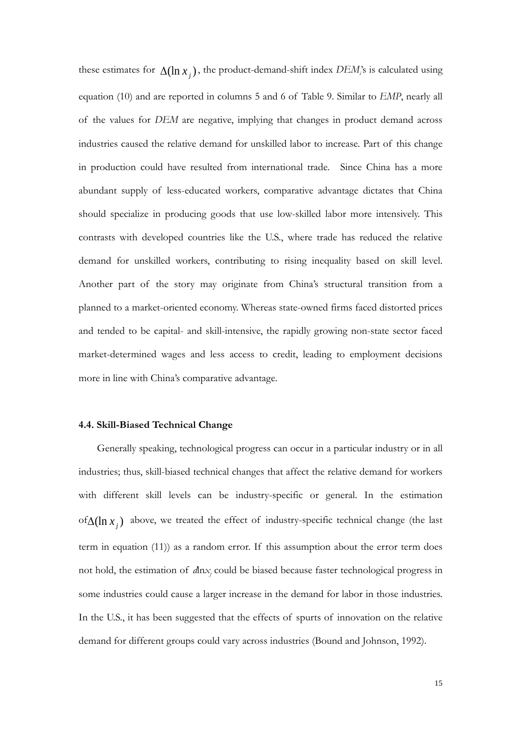these estimates for  $\Delta(\ln x_j)$ , the product-demand-shift index *DEM*<sup>2</sup> is calculated using equation (10) and are reported in columns 5 and 6 of Table 9. Similar to *EMP*, nearly all of the values for *DEM* are negative, implying that changes in product demand across industries caused the relative demand for unskilled labor to increase. Part of this change in production could have resulted from international trade. Since China has a more abundant supply of less-educated workers, comparative advantage dictates that China should specialize in producing goods that use low-skilled labor more intensively. This contrasts with developed countries like the U.S., where trade has reduced the relative demand for unskilled workers, contributing to rising inequality based on skill level. Another part of the story may originate from China's structural transition from a planned to a market-oriented economy. Whereas state-owned firms faced distorted prices and tended to be capital- and skill-intensive, the rapidly growing non-state sector faced market-determined wages and less access to credit, leading to employment decisions more in line with China's comparative advantage.

#### **4.4. Skill-Biased Technical Change**

Generally speaking, technological progress can occur in a particular industry or in all industries; thus, skill-biased technical changes that affect the relative demand for workers with different skill levels can be industry-specific or general. In the estimation of $\Delta(\ln x_i)$  above, we treated the effect of industry-specific technical change (the last term in equation (11)) as a random error. If this assumption about the error term does not hold, the estimation of *d*ln*xj* could be biased because faster technological progress in some industries could cause a larger increase in the demand for labor in those industries. In the U.S., it has been suggested that the effects of spurts of innovation on the relative demand for different groups could vary across industries (Bound and Johnson, 1992).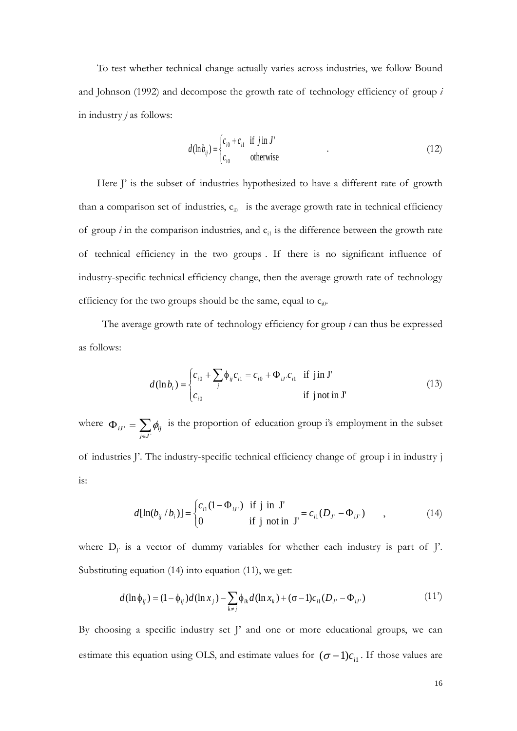To test whether technical change actually varies across industries, we follow Bound and Johnson (1992) and decompose the growth rate of technology efficiency of group *i* in industry *j* as follows:

$$
d(\ln b_{ij}) = \begin{cases} c_{i0} + c_{i1} & \text{if } j \text{ in } J' \\ c_{i0} & \text{otherwise} \end{cases}
$$
 (12)

Here J' is the subset of industries hypothesized to have a different rate of growth than a comparison set of industries,  $c_{i0}$  is the average growth rate in technical efficiency of group  $i$  in the comparison industries, and  $c_{i1}$  is the difference between the growth rate of technical efficiency in the two groups . If there is no significant influence of industry-specific technical efficiency change, then the average growth rate of technology efficiency for the two groups should be the same, equal to  $c_{i0}$ .

The average growth rate of technology efficiency for group *i* can thus be expressed as follows:

$$
d(\ln b_i) = \begin{cases} c_{i0} + \sum_j \phi_{ij} c_{i1} = c_{i0} + \Phi_{ij} c_{i1} & \text{if } j \text{ in } J' \\ c_{i0} & \text{if } j \text{ not in } J' \end{cases}
$$
(13)

where  $\Phi_{iJ'} = \sum_{j \in J'}$  $\sum_{j\in J}$  $\phi_{ij} = \sum \phi_{ij}$  is the proportion of education group i's employment in the subset

of industries J'. The industry-specific technical efficiency change of group i in industry j is:

$$
d[\ln(b_{ij}/b_i)] = \begin{cases} c_{i1}(1 - \Phi_{iJ'}) & \text{if } j \text{ in } J' \\ 0 & \text{if } j \text{ not in } J' \end{cases} = c_{i1}(D_{J'} - \Phi_{iJ'}) \qquad , \qquad (14)
$$

where  $D<sub>r</sub>$  is a vector of dummy variables for whether each industry is part of J'. Substituting equation (14) into equation (11), we get:

$$
d(\ln \phi_{ij}) = (1 - \phi_{ij})d(\ln x_j) - \sum_{k \neq j} \phi_{ik}d(\ln x_k) + (\sigma - 1)c_{i1}(D_{j} - \Phi_{i,j})
$$
(11')

By choosing a specific industry set J' and one or more educational groups, we can estimate this equation using OLS, and estimate values for  $({\sigma} - 1)c_{i1}$ . If those values are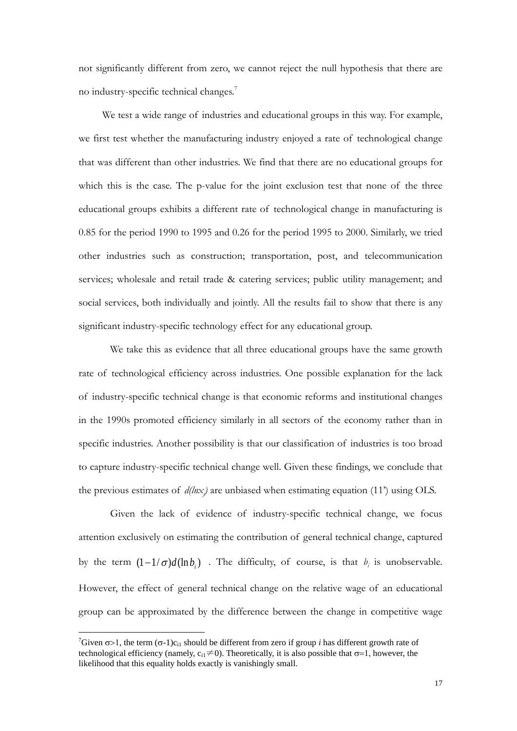not significantly different from zero, we cannot reject the null hypothesis that there are no industry-specific technical changes.7

We test a wide range of industries and educational groups in this way. For example, we first test whether the manufacturing industry enjoyed a rate of technological change that was different than other industries. We find that there are no educational groups for which this is the case. The p-value for the joint exclusion test that none of the three educational groups exhibits a different rate of technological change in manufacturing is 0.85 for the period 1990 to 1995 and 0.26 for the period 1995 to 2000. Similarly, we tried other industries such as construction; transportation, post, and telecommunication services; wholesale and retail trade & catering services; public utility management; and social services, both individually and jointly. All the results fail to show that there is any significant industry-specific technology effect for any educational group.

We take this as evidence that all three educational groups have the same growth rate of technological efficiency across industries. One possible explanation for the lack of industry-specific technical change is that economic reforms and institutional changes in the 1990s promoted efficiency similarly in all sectors of the economy rather than in specific industries. Another possibility is that our classification of industries is too broad to capture industry-specific technical change well. Given these findings, we conclude that the previous estimates of  $d(lnx_j)$  are unbiased when estimating equation (11') using OLS.

Given the lack of evidence of industry-specific technical change, we focus attention exclusively on estimating the contribution of general technical change, captured by the term  $(1 - 1/\sigma) d(\ln b_i)$ . The difficulty, of course, is that  $b_i$  is unobservable. However, the effect of general technical change on the relative wage of an educational group can be approximated by the difference between the change in competitive wage

<sup>|&</sup>lt;br>7 <sup>7</sup>Given σ>1, the term (σ-1)c<sub>i1</sub> should be different from zero if group *i* has different growth rate of technological efficiency (namely,  $c_{i1} \neq 0$ ). Theoretically, it is also possible that  $\sigma = 1$ , however, the likelihood that this equality holds exactly is vanishingly small.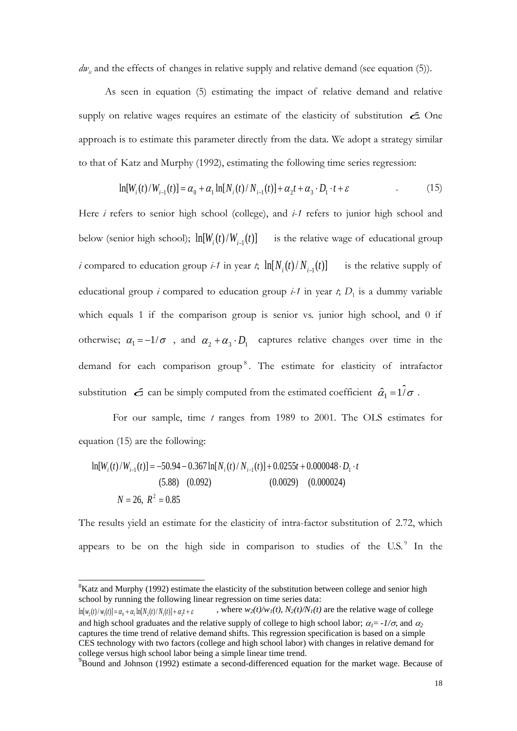$dw_i$  and the effects of changes in relative supply and relative demand (see equation (5)).

As seen in equation (5) estimating the impact of relative demand and relative supply on relative wages requires an estimate of the elasticity of substitution  $\epsilon$ . One approach is to estimate this parameter directly from the data. We adopt a strategy similar to that of Katz and Murphy (1992), estimating the following time series regression:

$$
\ln[W_i(t)/W_{i-1}(t)] = \alpha_0 + \alpha_1 \ln[N_i(t)/N_{i-1}(t)] + \alpha_2 t + \alpha_3 \cdot D_1 \cdot t + \varepsilon
$$
\n(15)

Here *i* refers to senior high school (college), and *i-1* refers to junior high school and below (senior high school);  $\ln[W_i(t)/W_{i-1}(t)]$  is the relative wage of educational group *i* compared to education group *i-1* in year *t*;  $\ln[N_i(t)/N_{i-1}(t)]$  is the relative supply of educational group *i* compared to education group *i-1* in year *t*;  $D_1$  is a dummy variable which equals 1 if the comparison group is senior vs. junior high school, and 0 if otherwise;  $\alpha_1 = -1/\sigma$ , and  $\alpha_2 + \alpha_3 \cdot D_1$  captures relative changes over time in the demand for each comparison group <sup>8</sup> . The estimate for elasticity of intrafactor substitution  $\epsilon$  can be simply computed from the estimated coefficient  $\hat{\alpha}_1 = 1/\sigma$ .

For our sample, time *t* ranges from 1989 to 2001. The OLS estimates for equation (15) are the following:

$$
\ln[W_i(t)/W_{i-1}(t)] = -50.94 - 0.367 \ln[N_i(t)/N_{i-1}(t)] + 0.0255t + 0.000048 \cdot D_1 \cdot t
$$
  
(5.88) (0.092) (0.0029) (0.000024)  

$$
N = 26, R^2 = 0.85
$$

The results yield an estimate for the elasticity of intra-factor substitution of 2.72, which appears to be on the high side in comparison to studies of the U.S.<sup>9</sup> In the

 <sup>8</sup>  ${}^{8}$ Katz and Murphy (1992) estimate the elasticity of the substitution between college and senior high school by running the following linear regression on time series data:

 $\ln[w_2(t)/w_1(t)] = \alpha_0 + \alpha_1 \ln[N_2(t)/N_1(t)] + \alpha_2 t + \varepsilon$ , where  $w_2(t)/w_1(t)$ ,  $N_2(t)/N_1(t)$  are the relative wage of college

and high school graduates and the relative supply of college to high school labor;  $\alpha_1 = -1/\sigma$ , and  $\alpha_2$ captures the time trend of relative demand shifts. This regression specification is based on a simple CES technology with two factors (college and high school labor) with changes in relative demand for college versus high school labor being a simple linear time trend.

<sup>&</sup>lt;sup>9</sup>Bound and Johnson (1992) estimate a second-differenced equation for the market wage. Because of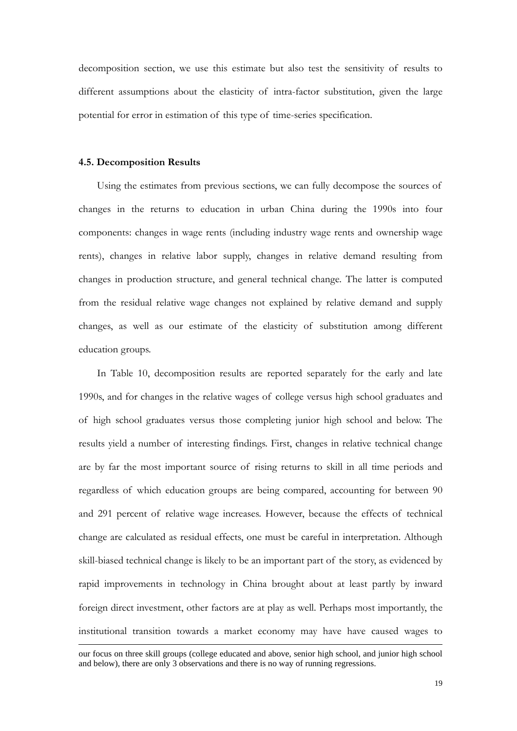decomposition section, we use this estimate but also test the sensitivity of results to different assumptions about the elasticity of intra-factor substitution, given the large potential for error in estimation of this type of time-series specification.

#### **4.5. Decomposition Results**

-

Using the estimates from previous sections, we can fully decompose the sources of changes in the returns to education in urban China during the 1990s into four components: changes in wage rents (including industry wage rents and ownership wage rents), changes in relative labor supply, changes in relative demand resulting from changes in production structure, and general technical change. The latter is computed from the residual relative wage changes not explained by relative demand and supply changes, as well as our estimate of the elasticity of substitution among different education groups.

In Table 10, decomposition results are reported separately for the early and late 1990s, and for changes in the relative wages of college versus high school graduates and of high school graduates versus those completing junior high school and below. The results yield a number of interesting findings. First, changes in relative technical change are by far the most important source of rising returns to skill in all time periods and regardless of which education groups are being compared, accounting for between 90 and 291 percent of relative wage increases. However, because the effects of technical change are calculated as residual effects, one must be careful in interpretation. Although skill-biased technical change is likely to be an important part of the story, as evidenced by rapid improvements in technology in China brought about at least partly by inward foreign direct investment, other factors are at play as well. Perhaps most importantly, the institutional transition towards a market economy may have have caused wages to

our focus on three skill groups (college educated and above, senior high school, and junior high school and below), there are only 3 observations and there is no way of running regressions.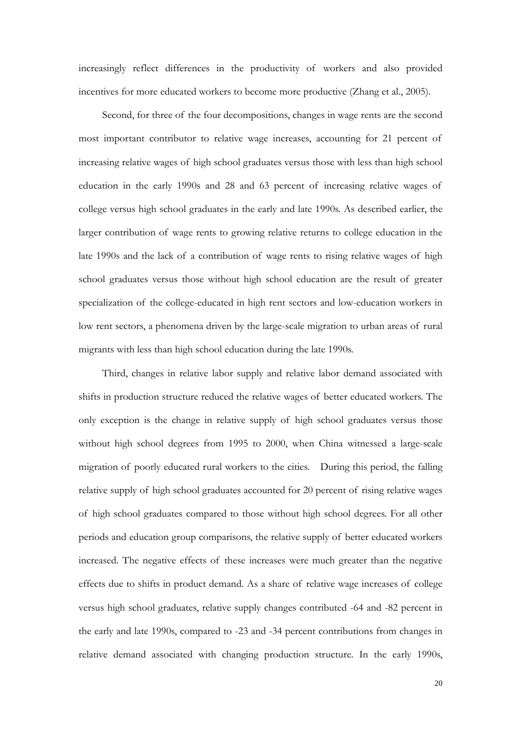increasingly reflect differences in the productivity of workers and also provided incentives for more educated workers to become more productive (Zhang et al., 2005).

Second, for three of the four decompositions, changes in wage rents are the second most important contributor to relative wage increases, accounting for 21 percent of increasing relative wages of high school graduates versus those with less than high school education in the early 1990s and 28 and 63 percent of increasing relative wages of college versus high school graduates in the early and late 1990s. As described earlier, the larger contribution of wage rents to growing relative returns to college education in the late 1990s and the lack of a contribution of wage rents to rising relative wages of high school graduates versus those without high school education are the result of greater specialization of the college-educated in high rent sectors and low-education workers in low rent sectors, a phenomena driven by the large-scale migration to urban areas of rural migrants with less than high school education during the late 1990s.

Third, changes in relative labor supply and relative labor demand associated with shifts in production structure reduced the relative wages of better educated workers. The only exception is the change in relative supply of high school graduates versus those without high school degrees from 1995 to 2000, when China witnessed a large-scale migration of poorly educated rural workers to the cities. During this period, the falling relative supply of high school graduates accounted for 20 percent of rising relative wages of high school graduates compared to those without high school degrees. For all other periods and education group comparisons, the relative supply of better educated workers increased. The negative effects of these increases were much greater than the negative effects due to shifts in product demand. As a share of relative wage increases of college versus high school graduates, relative supply changes contributed -64 and -82 percent in the early and late 1990s, compared to -23 and -34 percent contributions from changes in relative demand associated with changing production structure. In the early 1990s,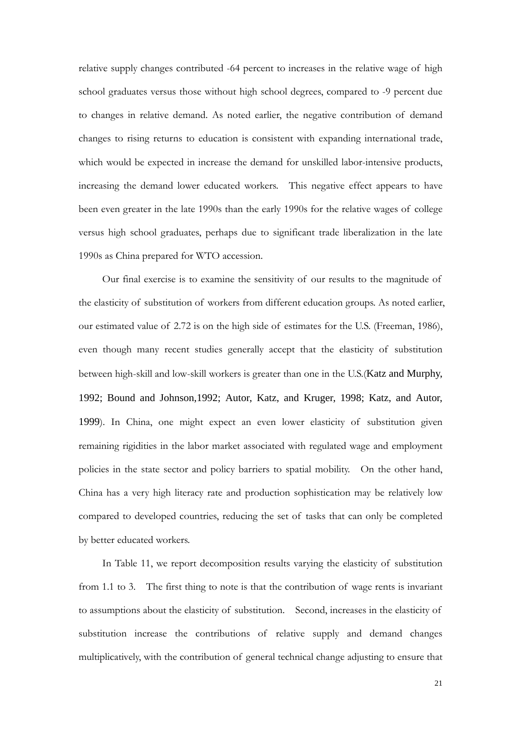relative supply changes contributed -64 percent to increases in the relative wage of high school graduates versus those without high school degrees, compared to -9 percent due to changes in relative demand. As noted earlier, the negative contribution of demand changes to rising returns to education is consistent with expanding international trade, which would be expected in increase the demand for unskilled labor-intensive products, increasing the demand lower educated workers. This negative effect appears to have been even greater in the late 1990s than the early 1990s for the relative wages of college versus high school graduates, perhaps due to significant trade liberalization in the late 1990s as China prepared for WTO accession.

Our final exercise is to examine the sensitivity of our results to the magnitude of the elasticity of substitution of workers from different education groups. As noted earlier, our estimated value of 2.72 is on the high side of estimates for the U.S. (Freeman, 1986), even though many recent studies generally accept that the elasticity of substitution between high-skill and low-skill workers is greater than one in the U.S.(Katz and Murphy, 1992; Bound and Johnson,1992; Autor, Katz, and Kruger, 1998; Katz, and Autor, 1999). In China, one might expect an even lower elasticity of substitution given remaining rigidities in the labor market associated with regulated wage and employment policies in the state sector and policy barriers to spatial mobility. On the other hand, China has a very high literacy rate and production sophistication may be relatively low compared to developed countries, reducing the set of tasks that can only be completed by better educated workers.

In Table 11, we report decomposition results varying the elasticity of substitution from 1.1 to 3. The first thing to note is that the contribution of wage rents is invariant to assumptions about the elasticity of substitution. Second, increases in the elasticity of substitution increase the contributions of relative supply and demand changes multiplicatively, with the contribution of general technical change adjusting to ensure that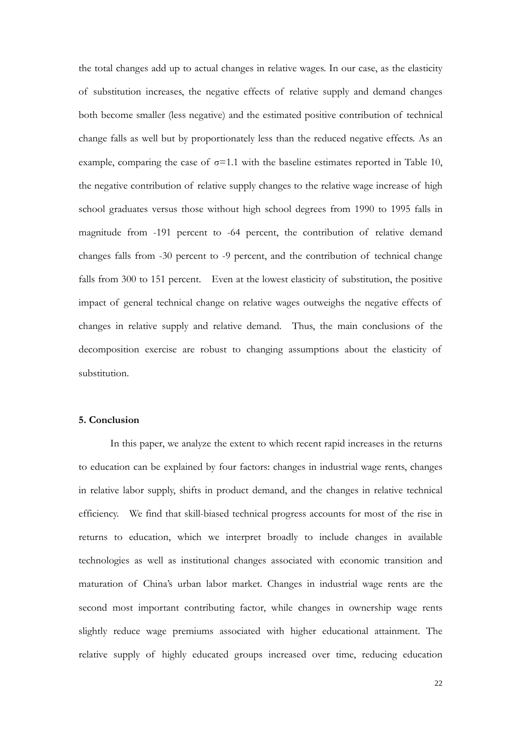the total changes add up to actual changes in relative wages. In our case, as the elasticity of substitution increases, the negative effects of relative supply and demand changes both become smaller (less negative) and the estimated positive contribution of technical change falls as well but by proportionately less than the reduced negative effects. As an example, comparing the case of  $\sigma$ =1.1 with the baseline estimates reported in Table 10, the negative contribution of relative supply changes to the relative wage increase of high school graduates versus those without high school degrees from 1990 to 1995 falls in magnitude from -191 percent to -64 percent, the contribution of relative demand changes falls from -30 percent to -9 percent, and the contribution of technical change falls from 300 to 151 percent. Even at the lowest elasticity of substitution, the positive impact of general technical change on relative wages outweighs the negative effects of changes in relative supply and relative demand. Thus, the main conclusions of the decomposition exercise are robust to changing assumptions about the elasticity of substitution.

# **5. Conclusion**

In this paper, we analyze the extent to which recent rapid increases in the returns to education can be explained by four factors: changes in industrial wage rents, changes in relative labor supply, shifts in product demand, and the changes in relative technical efficiency. We find that skill-biased technical progress accounts for most of the rise in returns to education, which we interpret broadly to include changes in available technologies as well as institutional changes associated with economic transition and maturation of China's urban labor market. Changes in industrial wage rents are the second most important contributing factor, while changes in ownership wage rents slightly reduce wage premiums associated with higher educational attainment. The relative supply of highly educated groups increased over time, reducing education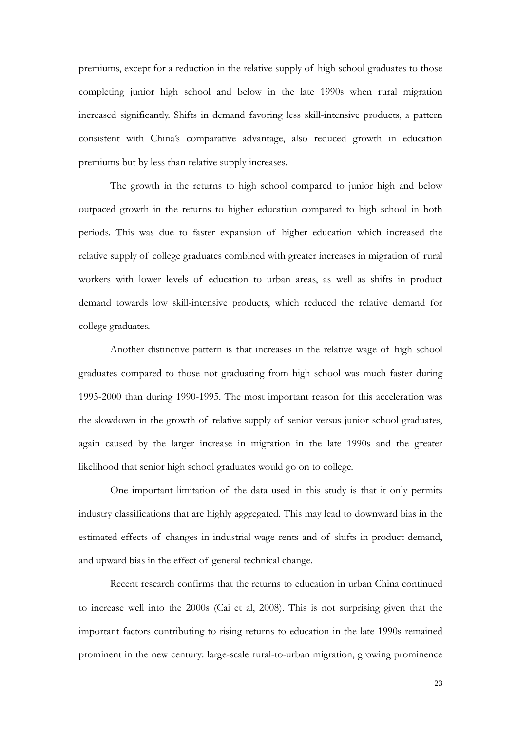premiums, except for a reduction in the relative supply of high school graduates to those completing junior high school and below in the late 1990s when rural migration increased significantly. Shifts in demand favoring less skill-intensive products, a pattern consistent with China's comparative advantage, also reduced growth in education premiums but by less than relative supply increases.

The growth in the returns to high school compared to junior high and below outpaced growth in the returns to higher education compared to high school in both periods. This was due to faster expansion of higher education which increased the relative supply of college graduates combined with greater increases in migration of rural workers with lower levels of education to urban areas, as well as shifts in product demand towards low skill-intensive products, which reduced the relative demand for college graduates.

Another distinctive pattern is that increases in the relative wage of high school graduates compared to those not graduating from high school was much faster during 1995-2000 than during 1990-1995. The most important reason for this acceleration was the slowdown in the growth of relative supply of senior versus junior school graduates, again caused by the larger increase in migration in the late 1990s and the greater likelihood that senior high school graduates would go on to college.

One important limitation of the data used in this study is that it only permits industry classifications that are highly aggregated. This may lead to downward bias in the estimated effects of changes in industrial wage rents and of shifts in product demand, and upward bias in the effect of general technical change.

Recent research confirms that the returns to education in urban China continued to increase well into the 2000s (Cai et al, 2008). This is not surprising given that the important factors contributing to rising returns to education in the late 1990s remained prominent in the new century: large-scale rural-to-urban migration, growing prominence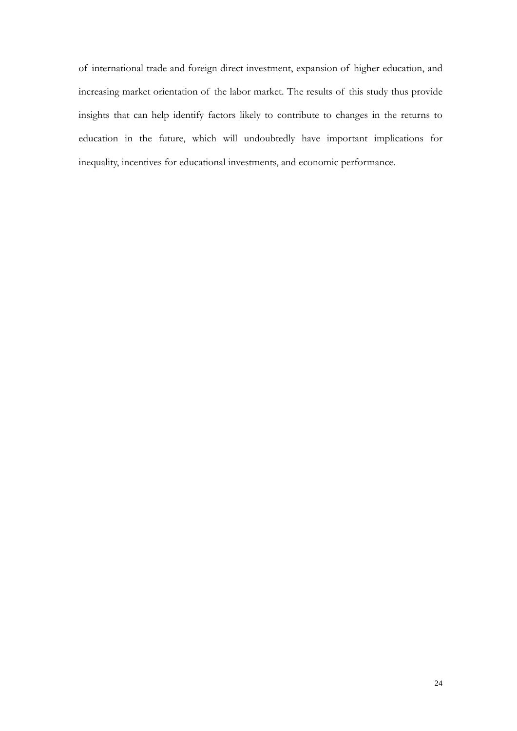of international trade and foreign direct investment, expansion of higher education, and increasing market orientation of the labor market. The results of this study thus provide insights that can help identify factors likely to contribute to changes in the returns to education in the future, which will undoubtedly have important implications for inequality, incentives for educational investments, and economic performance.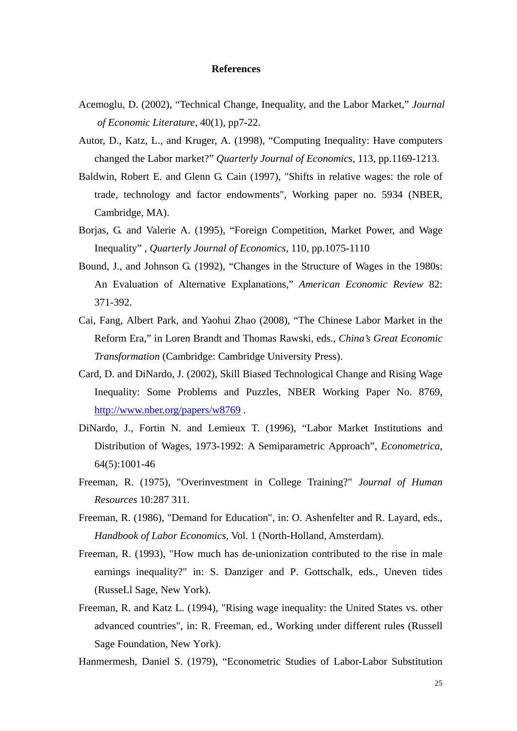# **References**

- Acemoglu, D. (2002), "Technical Change, Inequality, and the Labor Market," *Journal of Economic Literature*, 40(1), pp7-22.
- Autor, D., Katz, L., and Kruger, A. (1998), "Computing Inequality: Have computers changed the Labor market?" *Quarterly Journal of Economics*, 113, pp.1169-1213.
- Baldwin, Robert E. and Glenn G. Cain (1997), "Shifts in relative wages: the role of trade, technology and factor endowments", Working paper no. 5934 (NBER, Cambridge, MA).
- Borjas, G. and Valerie A. (1995), "Foreign Competition, Market Power, and Wage Inequality" , *Quarterly Journal of Economics*, 110, pp.1075-1110
- Bound, J., and Johnson G. (1992), "Changes in the Structure of Wages in the 1980s: An Evaluation of Alternative Explanations," *American Economic Review* 82: 371-392.
- Cai, Fang, Albert Park, and Yaohui Zhao (2008), "The Chinese Labor Market in the Reform Era," in Loren Brandt and Thomas Rawski, eds., *China's Great Economic Transformation* (Cambridge: Cambridge University Press).
- Card, D. and DiNardo, J. (2002), Skill Biased Technological Change and Rising Wage Inequality: Some Problems and Puzzles, NBER Working Paper No. 8769, <http://www.nber.org/papers/w8769> .
- DiNardo, J., Fortin N. and Lemieux T. (1996), "Labor Market Institutions and Distribution of Wages, 1973-1992: A Semiparametric Approach", *Econometrica*, 64(5):1001-46
- Freeman, R. (1975), "Overinvestment in College Training?" *Journal of Human Resources* 10:287 311.
- Freeman, R. (1986), "Demand for Education", in: O. Ashenfelter and R. Layard, eds., *Handbook of Labor Economics*, Vol. 1 (North-Holland, Amsterdam).
- Freeman, R. (1993), "How much has de-unionization contributed to the rise in male earnings inequality?" in: S. Danziger and P. Gottschalk, eds., Uneven tides (RusseLl Sage, New York).
- Freeman, R. and Katz L. (1994), "Rising wage inequality: the United States vs. other advanced countries", in: R. Freeman, ed., Working under different rules (Russell Sage Foundation, New York).
- Hanmermesh, Daniel S. (1979), "Econometric Studies of Labor-Labor Substitution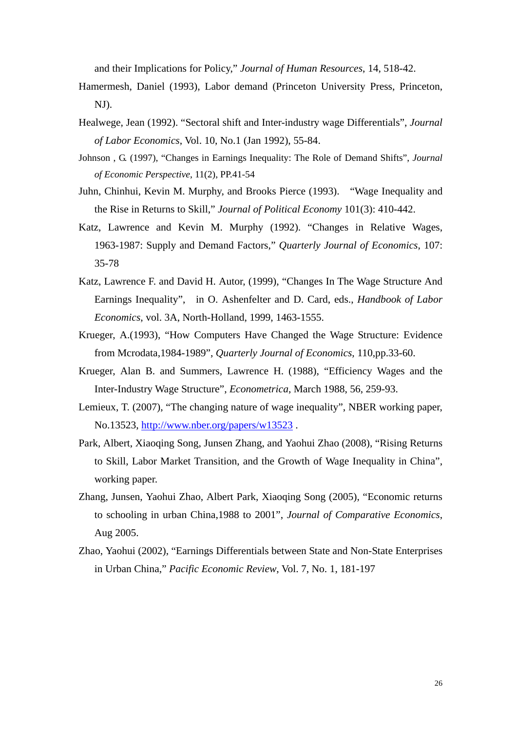and their Implications for Policy," *Journal of Human Resources*, 14, 518-42.

- Hamermesh, Daniel (1993), Labor demand (Princeton University Press, Princeton, NJ).
- Healwege, Jean (1992). "Sectoral shift and Inter-industry wage Differentials", *Journal of Labor Economics*, Vol. 10, No.1 (Jan 1992), 55-84.
- Johnson , G. (1997), "Changes in Earnings Inequality: The Role of Demand Shifts", *Journal of Economic Perspective*, 11(2), PP.41-54
- Juhn, Chinhui, Kevin M. Murphy, and Brooks Pierce (1993). "Wage Inequality and the Rise in Returns to Skill," *Journal of Political Economy* 101(3): 410-442.
- Katz, Lawrence and Kevin M. Murphy (1992). "Changes in Relative Wages, 1963-1987: Supply and Demand Factors," *Quarterly Journal of Economics*, 107: 35-78
- Katz, Lawrence F. and David H. Autor, (1999), "Changes In The Wage Structure And Earnings Inequality", in O. Ashenfelter and D. Card, eds., *Handbook of Labor Economics*, vol. 3A, North-Holland, 1999, 1463-1555.
- Krueger, A.(1993), "How Computers Have Changed the Wage Structure: Evidence from Mcrodata,1984-1989", *Quarterly Journal of Economics*, 110,pp.33-60.
- Krueger, Alan B. and Summers, Lawrence H. (1988), "Efficiency Wages and the Inter-Industry Wage Structure", *Econometrica*, March 1988, 56, 259-93.
- Lemieux, T. (2007), "The changing nature of wage inequality", NBER working paper, No.13523[, http://www.nber.org/papers/w13523](http://www.nber.org/papers/w13523) .
- Park, Albert, Xiaoqing Song, Junsen Zhang, and Yaohui Zhao (2008), "Rising Returns to Skill, Labor Market Transition, and the Growth of Wage Inequality in China", working paper.
- Zhang, Junsen, Yaohui Zhao, Albert Park, Xiaoqing Song (2005), "Economic returns to schooling in urban China,1988 to 2001", *Journal of Comparative Economics*, Aug 2005.
- Zhao, Yaohui (2002), "Earnings Differentials between State and Non-State Enterprises in Urban China," *Pacific Economic Review*, Vol. 7, No. 1, 181-197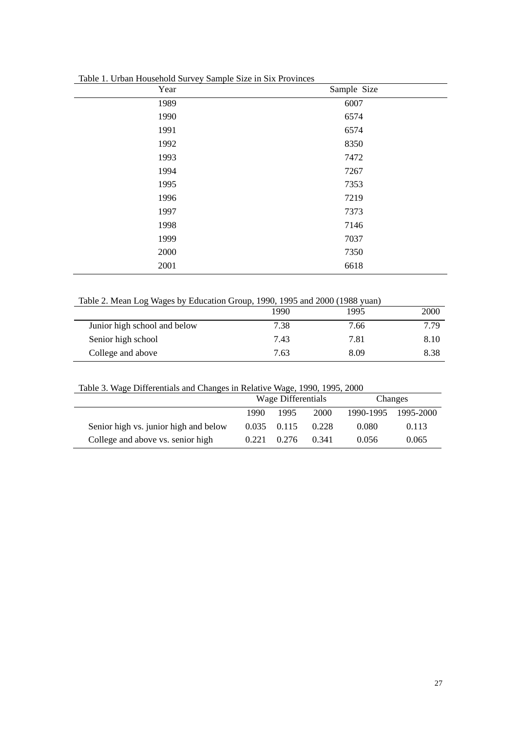| Year | Sample Size |
|------|-------------|
| 1989 | 6007        |
| 1990 | 6574        |
| 1991 | 6574        |
| 1992 | 8350        |
| 1993 | 7472        |
| 1994 | 7267        |
| 1995 | 7353        |
| 1996 | 7219        |
| 1997 | 7373        |
| 1998 | 7146        |
| 1999 | 7037        |
| 2000 | 7350        |
| 2001 | 6618        |

Table 1. Urban Household Survey Sample Size in Six Provinces

Table 2. Mean Log Wages by Education Group, 1990, 1995 and 2000 (1988 yuan)

|                              | 1990 | 1995 | 2000 |
|------------------------------|------|------|------|
| Junior high school and below | 7.38 | 7.66 | 7.79 |
| Senior high school           | 7.43 | 7.81 | 8.10 |
| College and above            | 7.63 | 8.09 | 8.38 |

| Table 5. Wage Differentials and Changes in Kelative Wage, 1990, 1995, 2000 |       |                    |       |         |                     |  |  |  |  |  |  |  |
|----------------------------------------------------------------------------|-------|--------------------|-------|---------|---------------------|--|--|--|--|--|--|--|
|                                                                            |       | Wage Differentials |       | Changes |                     |  |  |  |  |  |  |  |
|                                                                            | 1990. | 1995               | 2000  |         | 1990-1995 1995-2000 |  |  |  |  |  |  |  |
| Senior high vs. junior high and below                                      |       | $0.035$ $0.115$    | 0.228 | 0.080   | 0.113               |  |  |  |  |  |  |  |
| College and above vs. senior high                                          |       | $0.221$ $0.276$    | 0.341 | 0.056   | 0.065               |  |  |  |  |  |  |  |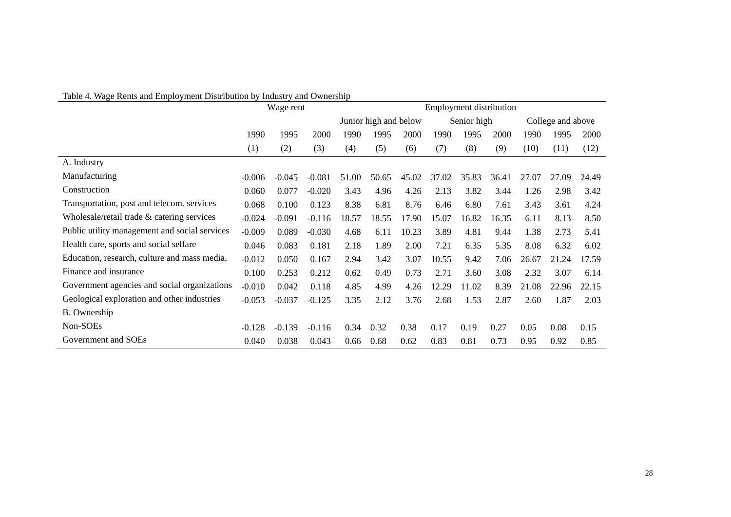|  |  |  |  |  | Table 4. Wage Rents and Employment Distribution by Industry and Ownership |
|--|--|--|--|--|---------------------------------------------------------------------------|
|--|--|--|--|--|---------------------------------------------------------------------------|

|                                               |          | Wage rent |          | <b>Employment distribution</b> |                       |       |             |       |       |                   |       |       |
|-----------------------------------------------|----------|-----------|----------|--------------------------------|-----------------------|-------|-------------|-------|-------|-------------------|-------|-------|
|                                               |          |           |          |                                | Junior high and below |       | Senior high |       |       | College and above |       |       |
|                                               | 1990     | 1995      | 2000     | 1990                           | 1995                  | 2000  | 1990        | 1995  | 2000  | 1990              | 1995  | 2000  |
|                                               | (1)      | (2)       | (3)      | (4)                            | (5)                   | (6)   | (7)         | (8)   | (9)   | (10)              | (11)  | (12)  |
| A. Industry                                   |          |           |          |                                |                       |       |             |       |       |                   |       |       |
| Manufacturing                                 | $-0.006$ | $-0.045$  | $-0.081$ | 51.00                          | 50.65                 | 45.02 | 37.02       | 35.83 | 36.41 | 27.07             | 27.09 | 24.49 |
| Construction                                  | 0.060    | 0.077     | $-0.020$ | 3.43                           | 4.96                  | 4.26  | 2.13        | 3.82  | 3.44  | 1.26              | 2.98  | 3.42  |
| Transportation, post and telecom. services    | 0.068    | 0.100     | 0.123    | 8.38                           | 6.81                  | 8.76  | 6.46        | 6.80  | 7.61  | 3.43              | 3.61  | 4.24  |
| Wholesale/retail trade $&catering$ services   | $-0.024$ | $-0.091$  | $-0.116$ | 18.57                          | 18.55                 | 17.90 | 15.07       | 16.82 | 16.35 | 6.11              | 8.13  | 8.50  |
| Public utility management and social services | $-0.009$ | 0.089     | $-0.030$ | 4.68                           | 6.11                  | 10.23 | 3.89        | 4.81  | 9.44  | 1.38              | 2.73  | 5.41  |
| Health care, sports and social selfare        | 0.046    | 0.083     | 0.181    | 2.18                           | 1.89                  | 2.00  | 7.21        | 6.35  | 5.35  | 8.08              | 6.32  | 6.02  |
| Education, research, culture and mass media,  | $-0.012$ | 0.050     | 0.167    | 2.94                           | 3.42                  | 3.07  | 10.55       | 9.42  | 7.06  | 26.67             | 21.24 | 17.59 |
| Finance and insurance                         | 0.100    | 0.253     | 0.212    | 0.62                           | 0.49                  | 0.73  | 2.71        | 3.60  | 3.08  | 2.32              | 3.07  | 6.14  |
| Government agencies and social organizations  | $-0.010$ | 0.042     | 0.118    | 4.85                           | 4.99                  | 4.26  | 12.29       | 11.02 | 8.39  | 21.08             | 22.96 | 22.15 |
| Geological exploration and other industries   | $-0.053$ | $-0.037$  | $-0.125$ | 3.35                           | 2.12                  | 3.76  | 2.68        | 1.53  | 2.87  | 2.60              | 1.87  | 2.03  |
| B. Ownership                                  |          |           |          |                                |                       |       |             |       |       |                   |       |       |
| Non-SOEs                                      | $-0.128$ | $-0.139$  | $-0.116$ | 0.34                           | 0.32                  | 0.38  | 0.17        | 0.19  | 0.27  | 0.05              | 0.08  | 0.15  |
| Government and SOEs                           | 0.040    | 0.038     | 0.043    | 0.66                           | 0.68                  | 0.62  | 0.83        | 0.81  | 0.73  | 0.95              | 0.92  | 0.85  |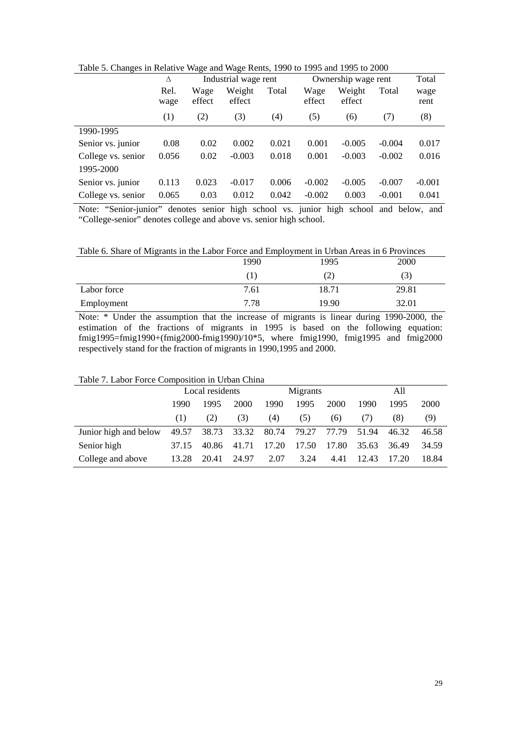|  |  | Table 5. Changes in Relative Wage and Wage Rents, 1990 to 1995 and 1995 to 2000 |
|--|--|---------------------------------------------------------------------------------|
|  |  |                                                                                 |

| $\circ$ .          | Δ            |                | $\circ$<br>Industrial wage rent |       | Ownership wage rent | Total            |          |              |
|--------------------|--------------|----------------|---------------------------------|-------|---------------------|------------------|----------|--------------|
|                    | Rel.<br>wage | Wage<br>effect | Weight<br>Total<br>effect       |       | Wage<br>effect      | Weight<br>effect | Total    | wage<br>rent |
|                    | (1)          | (2)            | (3)                             | (4)   | (5)                 | (6)              | (7)      | (8)          |
| 1990-1995          |              |                |                                 |       |                     |                  |          |              |
| Senior vs. junior  | 0.08         | 0.02           | 0.002                           | 0.021 | 0.001               | $-0.005$         | $-0.004$ | 0.017        |
| College vs. senior | 0.056        | 0.02           | $-0.003$                        | 0.018 | 0.001               | $-0.003$         | $-0.002$ | 0.016        |
| 1995-2000          |              |                |                                 |       |                     |                  |          |              |
| Senior vs. junior  | 0.113        | 0.023          | $-0.017$                        | 0.006 | $-0.002$            | $-0.005$         | $-0.007$ | $-0.001$     |
| College vs. senior | 0.065        | 0.03           | 0.012                           | 0.042 | $-0.002$            | 0.003            | $-0.001$ | 0.041        |

Note: "Senior-junior" denotes senior high school vs. junior high school and below, and "College-senior" denotes college and above vs. senior high school.

|             | 1990 | 1995  | 2000  |
|-------------|------|-------|-------|
|             |      | (2)   | (3)   |
| Labor force | 7.61 | 18.71 | 29.81 |
| Employment  | 7.78 | 19.90 | 32.01 |

Note: \* Under the assumption that the increase of migrants is linear during 1990-2000, the estimation of the fractions of migrants in 1995 is based on the following equation: fmig1995=fmig1990+(fmig2000-fmig1990)/10\*5, where fmig1990, fmig1995 and fmig2000 respectively stand for the fraction of migrants in 1990,1995 and 2000.

Table 7. Labor Force Composition in Urban China

| Table 7. Eabor 1 orce Composition in Orban China |                      |       |             |       |          |       |       |       |       |  |  |  |  |
|--------------------------------------------------|----------------------|-------|-------------|-------|----------|-------|-------|-------|-------|--|--|--|--|
|                                                  | Local residents      |       |             |       | Migrants |       | All   |       |       |  |  |  |  |
|                                                  | 2000<br>1990<br>1995 |       |             | 1990  | 1995     | 2000  | 1990  | 1995  | 2000  |  |  |  |  |
|                                                  | (1)                  | (2)   | (3)         | (4)   | (5)      | (6)   | (7)   | (8)   | (9)   |  |  |  |  |
| Junior high and below                            | 49.57                |       | 38.73 33.32 | 80.74 | 79.27    | 77.79 | 51.94 | 46.32 | 46.58 |  |  |  |  |
| Senior high                                      | 37.15                | 40.86 | 41.71       | 17.20 | 17.50    | 17.80 | 35.63 | 36.49 | 34.59 |  |  |  |  |
| College and above                                | 13.28                | 20.41 | 24.97       | 2.07  | 3.24     | 4.41  | 12.43 | 17.20 | 18.84 |  |  |  |  |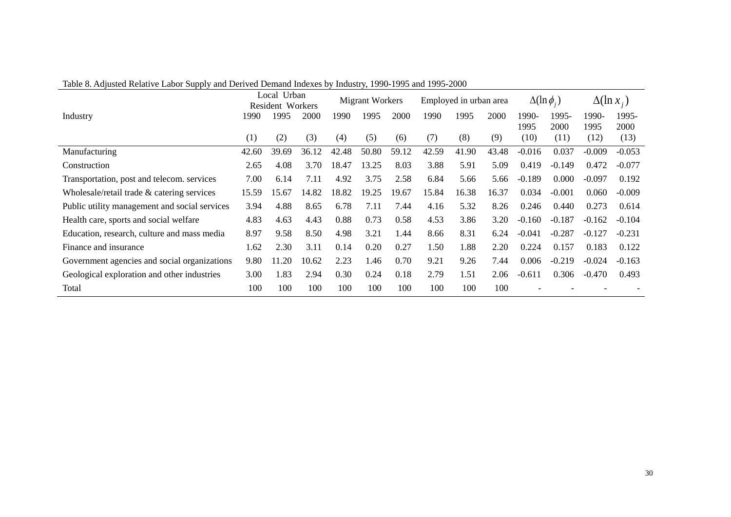|                                               |       | Local Urban<br><b>Resident Workers</b> |       |       | <b>Migrant Workers</b> |       |       | Employed in urban area |       |               | $\Delta(\ln \phi_i)$ |               | $\Delta(\ln x_i)$ |  |
|-----------------------------------------------|-------|----------------------------------------|-------|-------|------------------------|-------|-------|------------------------|-------|---------------|----------------------|---------------|-------------------|--|
| Industry                                      | 1990  | 1995                                   | 2000  | 1990  | 1995                   | 2000  | 1990  | 1995                   | 2000  | 1990-<br>1995 | 1995-<br>2000        | 1990-<br>1995 | 1995-<br>2000     |  |
|                                               | (1)   | (2)                                    | (3)   | (4)   | (5)                    | (6)   | (7)   | (8)                    | (9)   | (10)          | (11)                 | (12)          | (13)              |  |
| Manufacturing                                 | 42.60 | 39.69                                  | 36.12 | 42.48 | 50.80                  | 59.12 | 42.59 | 41.90                  | 43.48 | $-0.016$      | 0.037                | $-0.009$      | $-0.053$          |  |
| Construction                                  | 2.65  | 4.08                                   | 3.70  | 18.47 | 13.25                  | 8.03  | 3.88  | 5.91                   | 5.09  | 0.419         | $-0.149$             | 0.472         | $-0.077$          |  |
| Transportation, post and telecom. services    | 7.00  | 6.14                                   | 7.11  | 4.92  | 3.75                   | 2.58  | 6.84  | 5.66                   | 5.66  | $-0.189$      | 0.000                | $-0.097$      | 0.192             |  |
| Wholesale/retail trade & catering services    | 15.59 | 15.67                                  | 14.82 | 18.82 | 19.25                  | 19.67 | 15.84 | 16.38                  | 16.37 | 0.034         | $-0.001$             | 0.060         | $-0.009$          |  |
| Public utility management and social services | 3.94  | 4.88                                   | 8.65  | 6.78  | 7.11                   | 7.44  | 4.16  | 5.32                   | 8.26  | 0.246         | 0.440                | 0.273         | 0.614             |  |
| Health care, sports and social welfare        | 4.83  | 4.63                                   | 4.43  | 0.88  | 0.73                   | 0.58  | 4.53  | 3.86                   | 3.20  | $-0.160$      | $-0.187$             | $-0.162$      | $-0.104$          |  |
| Education, research, culture and mass media   | 8.97  | 9.58                                   | 8.50  | 4.98  | 3.21                   | 1.44  | 8.66  | 8.31                   | 6.24  | $-0.041$      | $-0.287$             | $-0.127$      | $-0.231$          |  |
| Finance and insurance                         | 1.62  | 2.30                                   | 3.11  | 0.14  | 0.20                   | 0.27  | 1.50  | 1.88                   | 2.20  | 0.224         | 0.157                | 0.183         | 0.122             |  |
| Government agencies and social organizations  | 9.80  | 11.20                                  | 10.62 | 2.23  | 1.46                   | 0.70  | 9.21  | 9.26                   | 7.44  | 0.006         | $-0.219$             | $-0.024$      | $-0.163$          |  |
| Geological exploration and other industries   | 3.00  | 1.83                                   | 2.94  | 0.30  | 0.24                   | 0.18  | 2.79  | 1.51                   | 2.06  | $-0.611$      | 0.306                | $-0.470$      | 0.493             |  |
| Total                                         | 100   | 100                                    | 100   | 100   | 100                    | 100   | 100   | 100                    | 100   |               |                      |               |                   |  |

Table 8. Adjusted Relative Labor Supply and Derived Demand Indexes by Industry, 1990-1995 and 1995-2000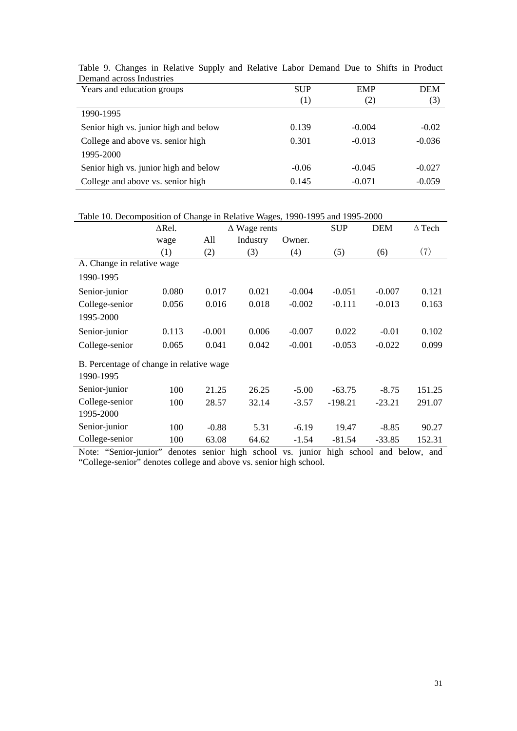| Years and education groups            | <b>SUP</b> | <b>EMP</b> | <b>DEM</b> |
|---------------------------------------|------------|------------|------------|
|                                       | (1)        | 2)         | (3)        |
| 1990-1995                             |            |            |            |
| Senior high vs. junior high and below | 0.139      | $-0.004$   | $-0.02$    |
| College and above vs. senior high     | 0.301      | $-0.013$   | $-0.036$   |
| 1995-2000                             |            |            |            |
| Senior high vs. junior high and below | $-0.06$    | $-0.045$   | $-0.027$   |
| College and above vs. senior high     | 0.145      | $-0.071$   | $-0.059$   |

Table 9. Changes in Relative Supply and Relative Labor Demand Due to Shifts in Product Demand across Industries

Table 10. Decomposition of Change in Relative Wages, 1990-1995 and 1995-2000

|                                          | $\triangle$ Rel. |          | $\Delta$ Wage rents |          | <b>SUP</b> | <b>DEM</b> | $\Delta$ Tech |
|------------------------------------------|------------------|----------|---------------------|----------|------------|------------|---------------|
|                                          | wage             | All      | Industry            | Owner.   |            |            |               |
|                                          | (1)              | (2)      | (3)                 | (4)      | (5)        | (6)        | (7)           |
| A. Change in relative wage               |                  |          |                     |          |            |            |               |
| 1990-1995                                |                  |          |                     |          |            |            |               |
| Senior-junior                            | 0.080            | 0.017    | 0.021               | $-0.004$ | $-0.051$   | $-0.007$   | 0.121         |
| College-senior                           | 0.056            | 0.016    | 0.018               | $-0.002$ | $-0.111$   | $-0.013$   | 0.163         |
| 1995-2000                                |                  |          |                     |          |            |            |               |
| Senior-junior                            | 0.113            | $-0.001$ | 0.006               | $-0.007$ | 0.022      | $-0.01$    | 0.102         |
| College-senior                           | 0.065            | 0.041    | 0.042               | $-0.001$ | $-0.053$   | $-0.022$   | 0.099         |
| B. Percentage of change in relative wage |                  |          |                     |          |            |            |               |
| 1990-1995                                |                  |          |                     |          |            |            |               |
| Senior-junior                            | 100              | 21.25    | 26.25               | $-5.00$  | $-63.75$   | $-8.75$    | 151.25        |
| College-senior                           | 100              | 28.57    | 32.14               | $-3.57$  | $-198.21$  | $-23.21$   | 291.07        |
| 1995-2000                                |                  |          |                     |          |            |            |               |
| Senior-junior                            | 100              | $-0.88$  | 5.31                | $-6.19$  | 19.47      | $-8.85$    | 90.27         |
| College-senior                           | 100              | 63.08    | 64.62               | $-1.54$  | $-81.54$   | $-33.85$   | 152.31        |

Note: "Senior-junior" denotes senior high school vs. junior high school and below, and "College-senior" denotes college and above vs. senior high school.